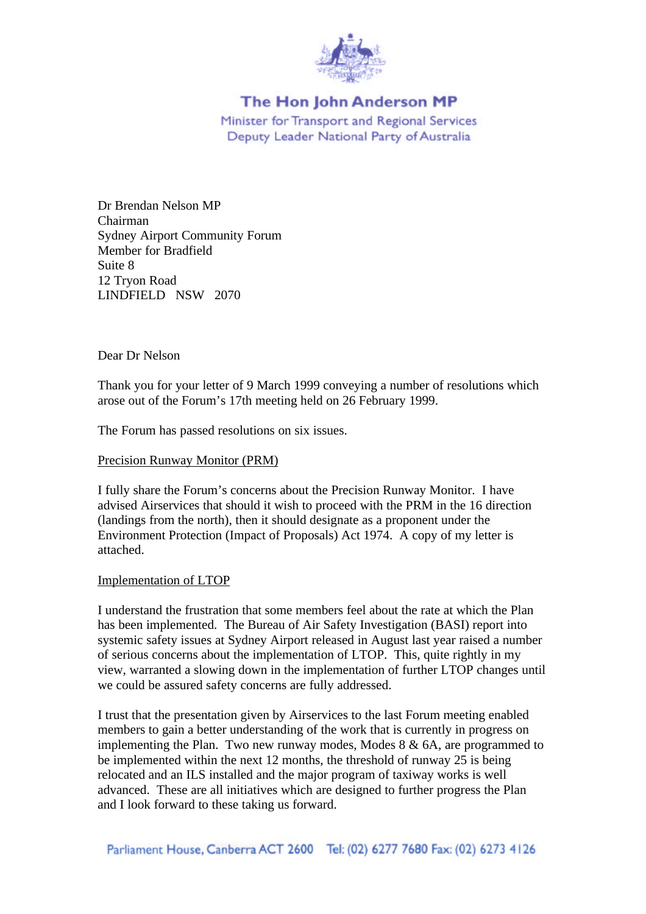

# **The Hon John Anderson MP**

Minister for Transport and Regional Services Deputy Leader National Party of Australia

Dr Brendan Nelson MP Chairman Sydney Airport Community Forum Member for Bradfield Suite 8 12 Tryon Road LINDFIELD NSW 2070

## Dear Dr Nelson

Thank you for your letter of 9 March 1999 conveying a number of resolutions which arose out of the Forum's 17th meeting held on 26 February 1999.

The Forum has passed resolutions on six issues.

#### Precision Runway Monitor (PRM)

I fully share the Forum's concerns about the Precision Runway Monitor. I have advised Airservices that should it wish to proceed with the PRM in the 16 direction (landings from the north), then it should designate as a proponent under the Environment Protection (Impact of Proposals) Act 1974. A copy of my letter is attached.

#### Implementation of LTOP

I understand the frustration that some members feel about the rate at which the Plan has been implemented. The Bureau of Air Safety Investigation (BASI) report into systemic safety issues at Sydney Airport released in August last year raised a number of serious concerns about the implementation of LTOP. This, quite rightly in my view, warranted a slowing down in the implementation of further LTOP changes until we could be assured safety concerns are fully addressed.

I trust that the presentation given by Airservices to the last Forum meeting enabled members to gain a better understanding of the work that is currently in progress on implementing the Plan. Two new runway modes, Modes  $8 \& 6A$ , are programmed to be implemented within the next 12 months, the threshold of runway 25 is being relocated and an ILS installed and the major program of taxiway works is well advanced. These are all initiatives which are designed to further progress the Plan and I look forward to these taking us forward.